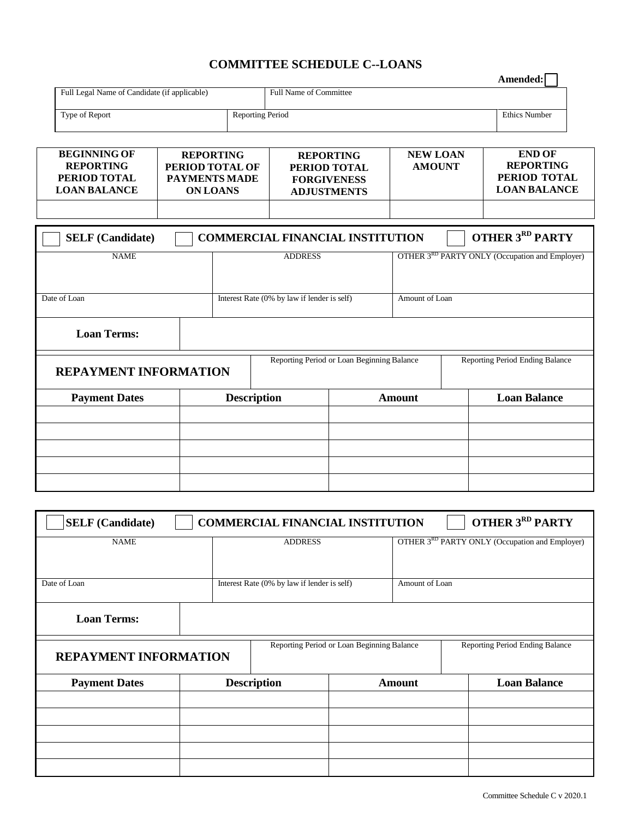## **COMMITTEE SCHEDULE C--LOANS**

|                                              |                  |                               | Amended: I           |
|----------------------------------------------|------------------|-------------------------------|----------------------|
| Full Legal Name of Candidate (if applicable) |                  | <b>Full Name of Committee</b> |                      |
|                                              |                  |                               |                      |
| Type of Report                               | Reporting Period |                               | <b>Ethics Number</b> |

| <b>BEGINNING OF</b><br><b>REPORTING</b><br>PERIOD TOTAL<br><b>LOAN BALANCE</b> | <b>REPORTING</b><br>PERIOD TOTAL OF<br>PAYMENTS MADE<br><b>ON LOANS</b> | <b>REPORTING</b><br>PERIOD TOTAL<br><b>FORGIVENESS</b><br><b>ADJUSTMENTS</b> | <b>NEW LOAN</b><br><b>AMOUNT</b> | <b>END OF</b><br><b>REPORTING</b><br>PERIOD TOTAL<br><b>LOAN BALANCE</b> |
|--------------------------------------------------------------------------------|-------------------------------------------------------------------------|------------------------------------------------------------------------------|----------------------------------|--------------------------------------------------------------------------|
|                                                                                |                                                                         |                                                                              |                                  |                                                                          |

| <b>OTHER 3RD PARTY</b><br><b>SELF</b> (Candidate)<br><b>COMMERCIAL FINANCIAL INSTITUTION</b> |                |                                             |  |  |                |                                                |  |
|----------------------------------------------------------------------------------------------|----------------|---------------------------------------------|--|--|----------------|------------------------------------------------|--|
| <b>NAME</b>                                                                                  | <b>ADDRESS</b> |                                             |  |  |                | OTHER 3RD PARTY ONLY (Occupation and Employer) |  |
|                                                                                              |                |                                             |  |  |                |                                                |  |
| Date of Loan                                                                                 |                | Interest Rate (0% by law if lender is self) |  |  | Amount of Loan |                                                |  |
| <b>Loan Terms:</b>                                                                           |                |                                             |  |  |                |                                                |  |
| <b>REPAYMENT INFORMATION</b>                                                                 |                | Reporting Period or Loan Beginning Balance  |  |  |                | Reporting Period Ending Balance                |  |
| <b>Payment Dates</b>                                                                         |                | <b>Description</b><br><b>Amount</b>         |  |  |                | <b>Loan Balance</b>                            |  |
|                                                                                              |                |                                             |  |  |                |                                                |  |
|                                                                                              |                |                                             |  |  |                |                                                |  |
|                                                                                              |                |                                             |  |  |                |                                                |  |
|                                                                                              |                |                                             |  |  |                |                                                |  |
|                                                                                              |                |                                             |  |  |                |                                                |  |

| <b>OTHER 3RD PARTY</b><br><b>SELF</b> (Candidate)<br><b>COMMERCIAL FINANCIAL INSTITUTION</b> |                |                                             |  |                |                                                |  |
|----------------------------------------------------------------------------------------------|----------------|---------------------------------------------|--|----------------|------------------------------------------------|--|
| <b>NAME</b>                                                                                  | <b>ADDRESS</b> |                                             |  |                | OTHER 3RD PARTY ONLY (Occupation and Employer) |  |
|                                                                                              |                |                                             |  |                |                                                |  |
| Date of Loan                                                                                 |                | Interest Rate (0% by law if lender is self) |  | Amount of Loan |                                                |  |
| <b>Loan Terms:</b>                                                                           |                |                                             |  |                |                                                |  |
| <b>REPAYMENT INFORMATION</b>                                                                 |                | Reporting Period or Loan Beginning Balance  |  |                | Reporting Period Ending Balance                |  |
| <b>Payment Dates</b>                                                                         |                | <b>Description</b>                          |  | <b>Amount</b>  | <b>Loan Balance</b>                            |  |
|                                                                                              |                |                                             |  |                |                                                |  |
|                                                                                              |                |                                             |  |                |                                                |  |
|                                                                                              |                |                                             |  |                |                                                |  |
|                                                                                              |                |                                             |  |                |                                                |  |
|                                                                                              |                |                                             |  |                |                                                |  |

**Amended:**

 $\overline{\phantom{0}}$